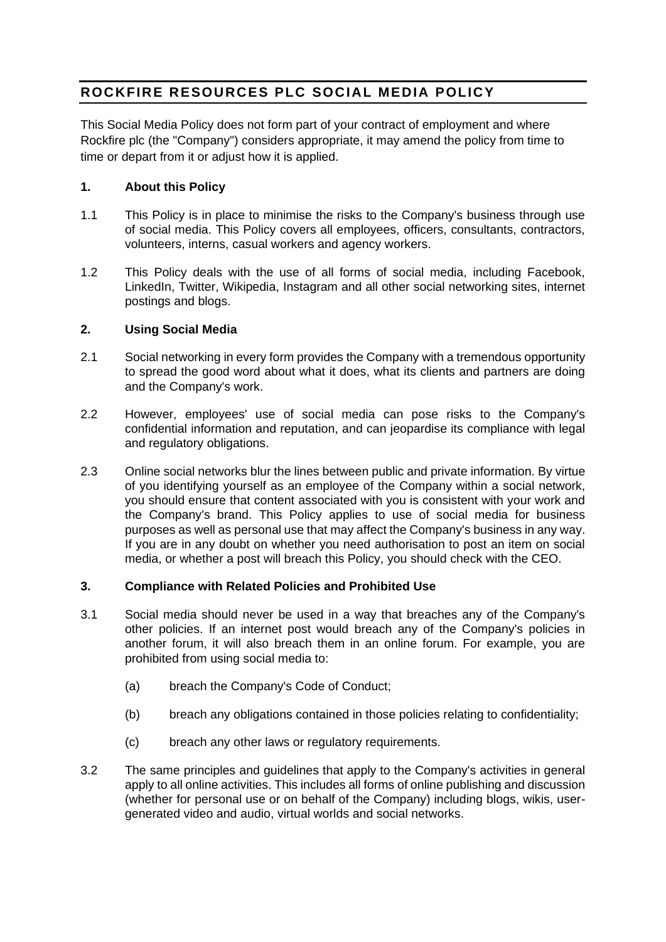# **ROCKFIRE RESOURCES PLC SOCIAL MEDIA POLICY**

This Social Media Policy does not form part of your contract of employment and where Rockfire plc (the "Company") considers appropriate, it may amend the policy from time to time or depart from it or adjust how it is applied.

# **1. About this Policy**

- 1.1 This Policy is in place to minimise the risks to the Company's business through use of social media. This Policy covers all employees, officers, consultants, contractors, volunteers, interns, casual workers and agency workers.
- 1.2 This Policy deals with the use of all forms of social media, including Facebook, LinkedIn, Twitter, Wikipedia, Instagram and all other social networking sites, internet postings and blogs.

## **2. Using Social Media**

- 2.1 Social networking in every form provides the Company with a tremendous opportunity to spread the good word about what it does, what its clients and partners are doing and the Company's work.
- 2.2 However, employees' use of social media can pose risks to the Company's confidential information and reputation, and can jeopardise its compliance with legal and regulatory obligations.
- 2.3 Online social networks blur the lines between public and private information. By virtue of you identifying yourself as an employee of the Company within a social network, you should ensure that content associated with you is consistent with your work and the Company's brand. This Policy applies to use of social media for business purposes as well as personal use that may affect the Company's business in any way. If you are in any doubt on whether you need authorisation to post an item on social media, or whether a post will breach this Policy, you should check with the CEO.

## **3. Compliance with Related Policies and Prohibited Use**

- 3.1 Social media should never be used in a way that breaches any of the Company's other policies. If an internet post would breach any of the Company's policies in another forum, it will also breach them in an online forum. For example, you are prohibited from using social media to:
	- (a) breach the Company's Code of Conduct;
	- (b) breach any obligations contained in those policies relating to confidentiality;
	- (c) breach any other laws or regulatory requirements.
- 3.2 The same principles and guidelines that apply to the Company's activities in general apply to all online activities. This includes all forms of online publishing and discussion (whether for personal use or on behalf of the Company) including blogs, wikis, usergenerated video and audio, virtual worlds and social networks.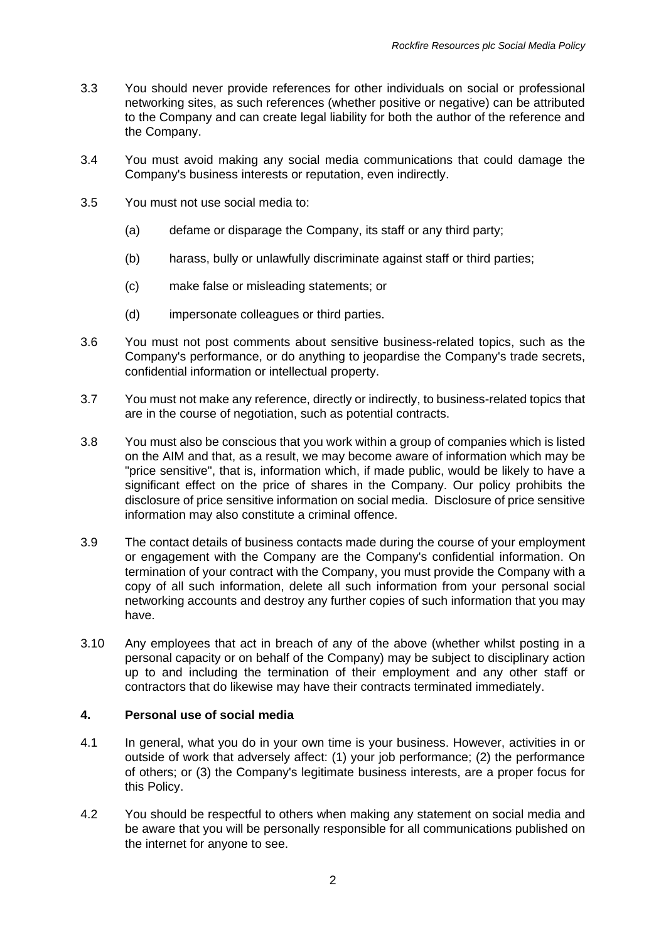- 3.3 You should never provide references for other individuals on social or professional networking sites, as such references (whether positive or negative) can be attributed to the Company and can create legal liability for both the author of the reference and the Company.
- 3.4 You must avoid making any social media communications that could damage the Company's business interests or reputation, even indirectly.
- 3.5 You must not use social media to:
	- (a) defame or disparage the Company, its staff or any third party;
	- (b) harass, bully or unlawfully discriminate against staff or third parties;
	- (c) make false or misleading statements; or
	- (d) impersonate colleagues or third parties.
- 3.6 You must not post comments about sensitive business-related topics, such as the Company's performance, or do anything to jeopardise the Company's trade secrets, confidential information or intellectual property.
- 3.7 You must not make any reference, directly or indirectly, to business-related topics that are in the course of negotiation, such as potential contracts.
- 3.8 You must also be conscious that you work within a group of companies which is listed on the AIM and that, as a result, we may become aware of information which may be "price sensitive", that is, information which, if made public, would be likely to have a significant effect on the price of shares in the Company. Our policy prohibits the disclosure of price sensitive information on social media. Disclosure of price sensitive information may also constitute a criminal offence.
- 3.9 The contact details of business contacts made during the course of your employment or engagement with the Company are the Company's confidential information. On termination of your contract with the Company, you must provide the Company with a copy of all such information, delete all such information from your personal social networking accounts and destroy any further copies of such information that you may have.
- 3.10 Any employees that act in breach of any of the above (whether whilst posting in a personal capacity or on behalf of the Company) may be subject to disciplinary action up to and including the termination of their employment and any other staff or contractors that do likewise may have their contracts terminated immediately.

## **4. Personal use of social media**

- 4.1 In general, what you do in your own time is your business. However, activities in or outside of work that adversely affect: (1) your job performance; (2) the performance of others; or (3) the Company's legitimate business interests, are a proper focus for this Policy.
- 4.2 You should be respectful to others when making any statement on social media and be aware that you will be personally responsible for all communications published on the internet for anyone to see.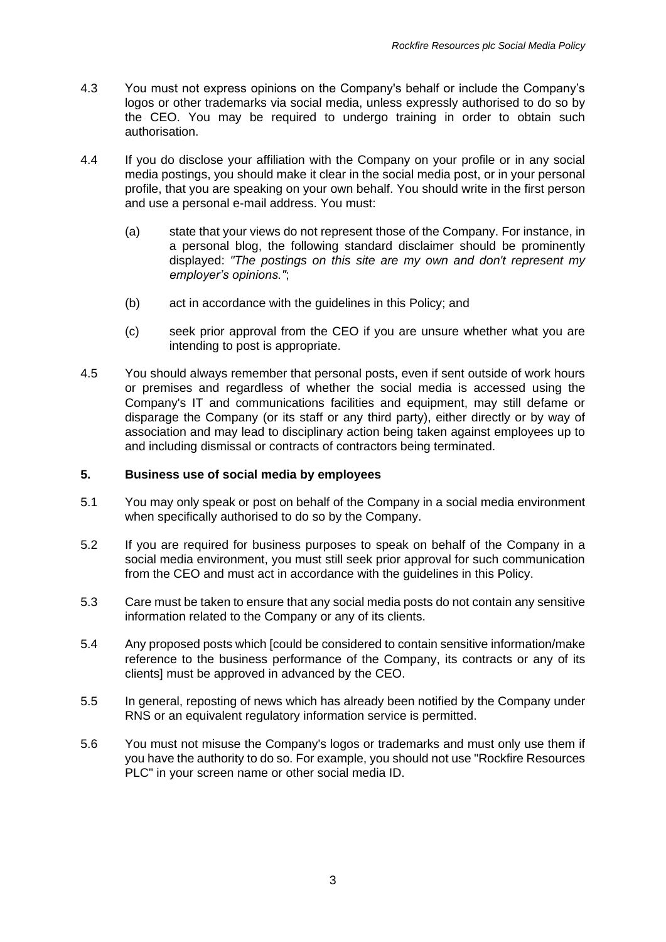- 4.3 You must not express opinions on the Company's behalf or include the Company's logos or other trademarks via social media, unless expressly authorised to do so by the CEO. You may be required to undergo training in order to obtain such authorisation.
- 4.4 If you do disclose your affiliation with the Company on your profile or in any social media postings, you should make it clear in the social media post, or in your personal profile, that you are speaking on your own behalf. You should write in the first person and use a personal e-mail address. You must:
	- (a) state that your views do not represent those of the Company. For instance, in a personal blog, the following standard disclaimer should be prominently displayed: *"The postings on this site are my own and don't represent my employer's opinions."*;
	- (b) act in accordance with the guidelines in this Policy; and
	- (c) seek prior approval from the CEO if you are unsure whether what you are intending to post is appropriate.
- 4.5 You should always remember that personal posts, even if sent outside of work hours or premises and regardless of whether the social media is accessed using the Company's IT and communications facilities and equipment, may still defame or disparage the Company (or its staff or any third party), either directly or by way of association and may lead to disciplinary action being taken against employees up to and including dismissal or contracts of contractors being terminated.

## **5. Business use of social media by employees**

- 5.1 You may only speak or post on behalf of the Company in a social media environment when specifically authorised to do so by the Company.
- 5.2 If you are required for business purposes to speak on behalf of the Company in a social media environment, you must still seek prior approval for such communication from the CEO and must act in accordance with the guidelines in this Policy.
- 5.3 Care must be taken to ensure that any social media posts do not contain any sensitive information related to the Company or any of its clients.
- 5.4 Any proposed posts which [could be considered to contain sensitive information/make reference to the business performance of the Company, its contracts or any of its clients] must be approved in advanced by the CEO.
- 5.5 In general, reposting of news which has already been notified by the Company under RNS or an equivalent regulatory information service is permitted.
- 5.6 You must not misuse the Company's logos or trademarks and must only use them if you have the authority to do so. For example, you should not use "Rockfire Resources PLC" in your screen name or other social media ID.